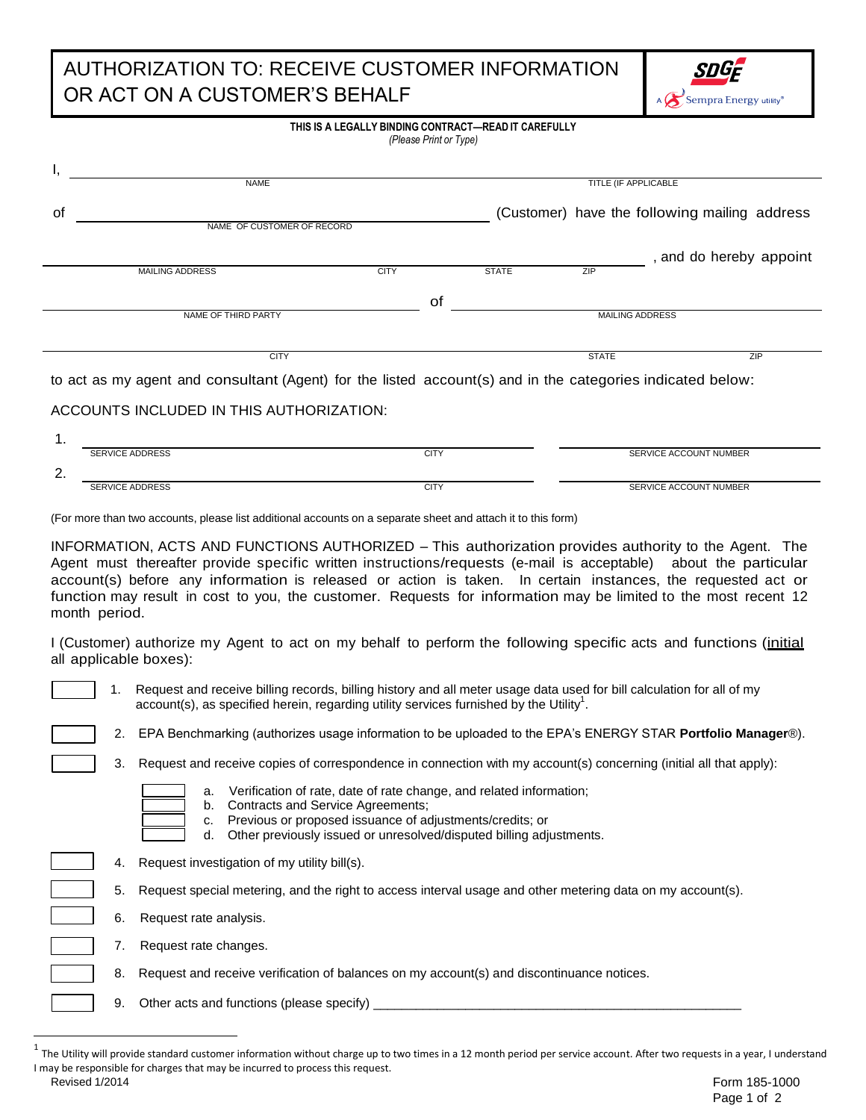## AUTHORIZATION TO: RECEIVE CUSTOMER INFORMATION OR ACT ON A CUSTOMER'S BEHALF



| THIS IS A LEGALLY BINDING CONTRACT—READ IT CAREFULLY<br>(Please Print or Type)                             |                            |             |              |                             |                                               |  |
|------------------------------------------------------------------------------------------------------------|----------------------------|-------------|--------------|-----------------------------|-----------------------------------------------|--|
|                                                                                                            | <b>NAME</b>                |             |              | <b>TITLE (IF APPLICABLE</b> |                                               |  |
| οf                                                                                                         |                            |             |              |                             | (Customer) have the following mailing address |  |
|                                                                                                            | NAME OF CUSTOMER OF RECORD |             |              |                             | , and do hereby appoint                       |  |
|                                                                                                            | <b>MAILING ADDRESS</b>     | <b>CITY</b> | <b>STATE</b> | ZIP                         |                                               |  |
|                                                                                                            |                            | 0f          |              |                             |                                               |  |
|                                                                                                            | NAME OF THIRD PARTY        |             |              |                             | <b>MAILING ADDRESS</b>                        |  |
|                                                                                                            | <b>CITY</b>                |             |              | <b>STATE</b>                | ZIP                                           |  |
| to act as my agent and consultant (Agent) for the listed account(s) and in the categories indicated below: |                            |             |              |                             |                                               |  |
| ACCOUNTS INCLUDED IN THIS AUTHORIZATION:                                                                   |                            |             |              |                             |                                               |  |
| 1.                                                                                                         | <b>SERVICE ADDRESS</b>     | <b>CITY</b> |              |                             | SERVICE ACCOUNT NUMBER                        |  |

(For more than two accounts, please list additional accounts on a separate sheet and attach it to this form)

INFORMATION, ACTS AND FUNCTIONS AUTHORIZED – This authorization provides authority to the Agent. The Agent must thereafter provide specific written instructions/requests (e-mail is acceptable) about the particular account(s) before any information is released or action is taken. In certain instances, the requested act or function may result in cost to you, the customer. Requests for information may be limited to the most recent 12 month period.

SERVICE ADDRESS SERVICE AND SERVICE ACCOUNT NUMBER

I (Customer) authorize my Agent to act on my behalf to perform the following specific acts and functions (initial all applicable boxes):

 $\overline{\phantom{a}}$ 

2.

1. Request and receive billing records, billing history and all meter usage data used for bill calculation for all of my account(s), as specified herein, regarding utility services furnished by the Utility<sup>1</sup>.

- 2. EPA Benchmarking (authorizes usage information to be uploaded to the EPA's ENERGY STAR **Portfolio Manager**®).
- 3. Request and receive copies of correspondence in connection with my account(s) concerning (initial all that apply):
	- a. Verification of rate, date of rate change, and related information;
	- b. Contracts and Service Agreements;
		- c. Previous or proposed issuance of adjustments/credits; or
		- d. Other previously issued or unresolved/disputed billing adjustments.
- 4. Request investigation of my utility bill(s).
	- 5. Request special metering, and the right to access interval usage and other metering data on my account(s).
	- 6. Request rate analysis.
	- 7. Request rate changes.
	- 8. Request and receive verification of balances on my account(s) and discontinuance notices.
	- 9. Other acts and functions (please specify)

Revised 1/2014  $^1$  The Utility will provide standard customer information without charge up to two times in a 12 month period per service account. After two requests in a year, I understand I may be responsible for charges that may be incurred to process this request.